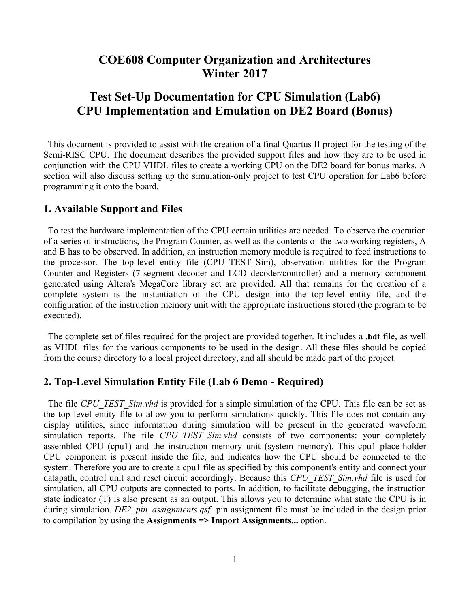## **COE608 Computer Organization and Architectures Winter 2017**

# **Test Set-Up Documentation for CPU Simulation (Lab6) CPU Implementation and Emulation on DE2 Board (Bonus)**

 This document is provided to assist with the creation of a final Quartus II project for the testing of the Semi-RISC CPU. The document describes the provided support files and how they are to be used in conjunction with the CPU VHDL files to create a working CPU on the DE2 board for bonus marks. A section will also discuss setting up the simulation-only project to test CPU operation for Lab6 before programming it onto the board.

#### **1. Available Support and Files**

 To test the hardware implementation of the CPU certain utilities are needed. To observe the operation of a series of instructions, the Program Counter, as well as the contents of the two working registers, A and B has to be observed. In addition, an instruction memory module is required to feed instructions to the processor. The top-level entity file (CPU\_TEST\_Sim), observation utilities for the Program Counter and Registers (7-segment decoder and LCD decoder/controller) and a memory component generated using Altera's MegaCore library set are provided. All that remains for the creation of a complete system is the instantiation of the CPU design into the top-level entity file, and the configuration of the instruction memory unit with the appropriate instructions stored (the program to be executed).

 The complete set of files required for the project are provided together. It includes a .**bdf** file, as well as VHDL files for the various components to be used in the design. All these files should be copied from the course directory to a local project directory, and all should be made part of the project.

## **2. Top-Level Simulation Entity File (Lab 6 Demo - Required)**

The file *CPU\_TEST\_Sim.vhd* is provided for a simple simulation of the CPU. This file can be set as the top level entity file to allow you to perform simulations quickly. This file does not contain any display utilities, since information during simulation will be present in the generated waveform simulation reports. The file *CPU TEST Sim.vhd* consists of two components: your completely assembled CPU (cpu1) and the instruction memory unit (system\_memory). This cpu1 place-holder CPU component is present inside the file, and indicates how the CPU should be connected to the system. Therefore you are to create a cpu1 file as specified by this component's entity and connect your datapath, control unit and reset circuit accordingly. Because this *CPU\_TEST\_Sim.vhd* file is used for simulation, all CPU outputs are connected to ports. In addition, to facilitate debugging, the instruction state indicator (T) is also present as an output. This allows you to determine what state the CPU is in during simulation. *DE2\_pin\_assignments.qsf* pin assignment file must be included in the design prior to compilation by using the **Assignments => Import Assignments...** option.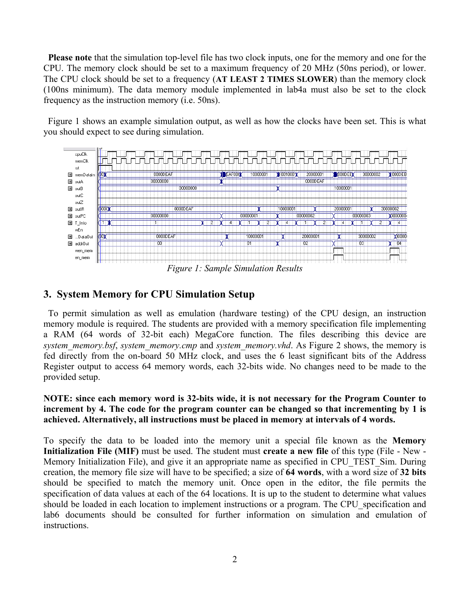**Please note** that the simulation top-level file has two clock inputs, one for the memory and one for the CPU. The memory clock should be set to a maximum frequency of 20 MHz (50ns period), or lower. The CPU clock should be set to a frequency (**AT LEAST 2 TIMES SLOWER**) than the memory clock (100ns minimum). The data memory module implemented in lab4a must also be set to the clock frequency as the instruction memory (i.e. 50ns).

 Figure 1 shows an example simulation output, as well as how the clocks have been set. This is what you should expect to see during simulation.



*Figure 1: Sample Simulation Results* 

#### **3. System Memory for CPU Simulation Setup**

 To permit simulation as well as emulation (hardware testing) of the CPU design, an instruction memory module is required. The students are provided with a memory specification file implementing a RAM (64 words of 32-bit each) MegaCore function. The files describing this device are *system\_memory.bsf*, *system\_memory.cmp* and *system\_memory.vhd*. As Figure 2 shows, the memory is fed directly from the on-board 50 MHz clock, and uses the 6 least significant bits of the Address Register output to access 64 memory words, each 32-bits wide. No changes need to be made to the provided setup.

#### **NOTE: since each memory word is 32-bits wide, it is not necessary for the Program Counter to increment by 4. The code for the program counter can be changed so that incrementing by 1 is achieved. Alternatively, all instructions must be placed in memory at intervals of 4 words.**

To specify the data to be loaded into the memory unit a special file known as the **Memory Initialization File (MIF)** must be used. The student must **create a new file** of this type (File - New - Memory Initialization File), and give it an appropriate name as specified in CPU\_TEST\_Sim. During creation, the memory file size will have to be specified; a size of **64 words**, with a word size of **32 bits** should be specified to match the memory unit. Once open in the editor, the file permits the specification of data values at each of the 64 locations. It is up to the student to determine what values should be loaded in each location to implement instructions or a program. The CPU specification and lab6 documents should be consulted for further information on simulation and emulation of instructions.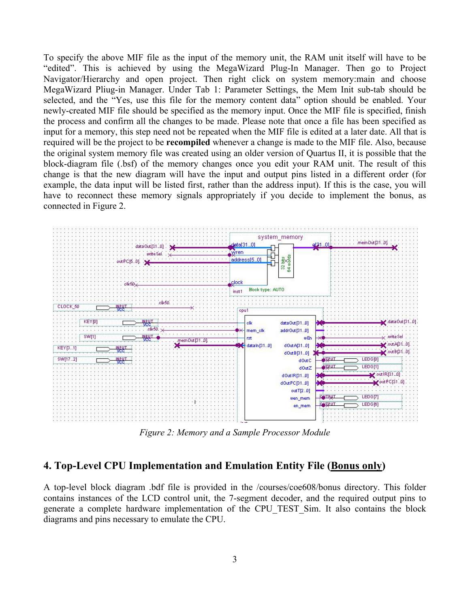To specify the above MIF file as the input of the memory unit, the RAM unit itself will have to be "edited". This is achieved by using the MegaWizard Plug-In Manager. Then go to Project Navigator/Hierarchy and open project. Then right click on system memory:main and choose MegaWizard Pliug-in Manager. Under Tab 1: Parameter Settings, the Mem Init sub-tab should be selected, and the "Yes, use this file for the memory content data" option should be enabled. Your newly-created MIF file should be specified as the memory input. Once the MIF file is specified, finish the process and confirm all the changes to be made. Please note that once a file has been specified as input for a memory, this step need not be repeated when the MIF file is edited at a later date. All that is required will be the project to be **recompiled** whenever a change is made to the MIF file. Also, because the original system memory file was created using an older version of Quartus II, it is possible that the block-diagram file (.bsf) of the memory changes once you edit your RAM unit. The result of this change is that the new diagram will have the input and output pins listed in a different order (for example, the data input will be listed first, rather than the address input). If this is the case, you will have to reconnect these memory signals appropriately if you decide to implement the bonus, as connected in Figure 2.



*Figure 2: Memory and a Sample Processor Module*

## **4. Top-Level CPU Implementation and Emulation Entity File (Bonus only)**

A top-level block diagram .bdf file is provided in the /courses/coe608/bonus directory. This folder contains instances of the LCD control unit, the 7-segment decoder, and the required output pins to generate a complete hardware implementation of the CPU\_TEST\_Sim. It also contains the block diagrams and pins necessary to emulate the CPU.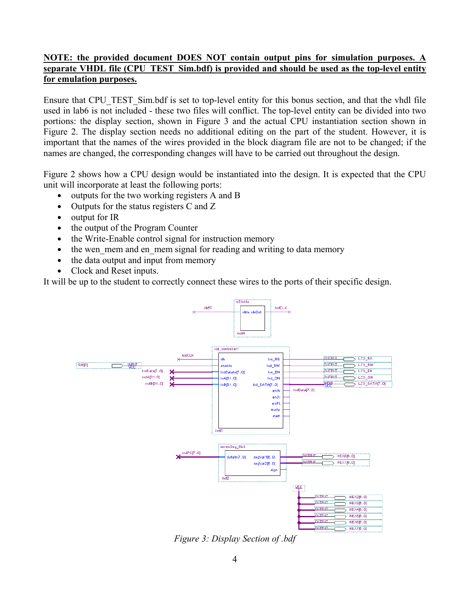### **NOTE: the provided document DOES NOT contain output pins for simulation purposes. separate VHDL file (CPU\_TEST\_Sim.bdf) is provided and should be used as the top-level entity for emulation purposes.**

Ensure that CPU\_TEST\_Sim.bdf is set to top-level entity for this bonus section, and that the vhdl file used in lab6 is not included - these two files will conflict. The top-level entity can be divided into two portions: the display section, shown in Figure 3 and the actual CPU instantiation section shown in Figure 2. The display section needs no additional editing on the part of the student. However, it is important that the names of the wires provided in the block diagram file are not to be changed; if the names are changed, the corresponding changes will have to be carried out throughout the design.

Figure 2 shows how a CPU design would be instantiated into the design. It is expected that the CPU unit will incorporate at least the following ports:

- outputs for the two working registers A and B
- Outputs for the status registers C and Z
- output for IR
- the output of the Program Counter
- the Write-Enable control signal for instruction memory
- the wen mem and en mem signal for reading and writing to data memory
- the data output and input from memory
- Clock and Reset inputs.

It will be up to the student to correctly connect these wires to the ports of their specific design.



*Figure 3: Display Section of .bdf*